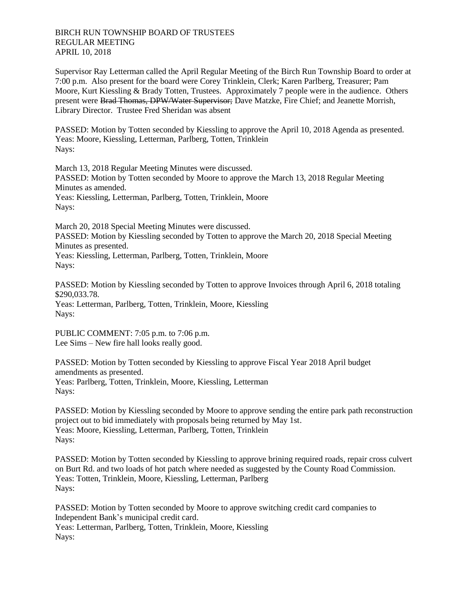BIRCH RUN TOWNSHIP BOARD OF TRUSTEES REGULAR MEETING APRIL 10, 2018

Supervisor Ray Letterman called the April Regular Meeting of the Birch Run Township Board to order at 7:00 p.m. Also present for the board were Corey Trinklein, Clerk; Karen Parlberg, Treasurer; Pam Moore, Kurt Kiessling & Brady Totten, Trustees. Approximately 7 people were in the audience. Others present were Brad Thomas, DPW/Water Supervisor; Dave Matzke, Fire Chief; and Jeanette Morrish, Library Director. Trustee Fred Sheridan was absent

PASSED: Motion by Totten seconded by Kiessling to approve the April 10, 2018 Agenda as presented. Yeas: Moore, Kiessling, Letterman, Parlberg, Totten, Trinklein Nays:

March 13, 2018 Regular Meeting Minutes were discussed. PASSED: Motion by Totten seconded by Moore to approve the March 13, 2018 Regular Meeting Minutes as amended. Yeas: Kiessling, Letterman, Parlberg, Totten, Trinklein, Moore Nays:

March 20, 2018 Special Meeting Minutes were discussed. PASSED: Motion by Kiessling seconded by Totten to approve the March 20, 2018 Special Meeting Minutes as presented. Yeas: Kiessling, Letterman, Parlberg, Totten, Trinklein, Moore Nays:

PASSED: Motion by Kiessling seconded by Totten to approve Invoices through April 6, 2018 totaling \$290,033.78.

Yeas: Letterman, Parlberg, Totten, Trinklein, Moore, Kiessling Nays:

PUBLIC COMMENT: 7:05 p.m. to 7:06 p.m. Lee Sims – New fire hall looks really good.

PASSED: Motion by Totten seconded by Kiessling to approve Fiscal Year 2018 April budget amendments as presented. Yeas: Parlberg, Totten, Trinklein, Moore, Kiessling, Letterman Nays:

PASSED: Motion by Kiessling seconded by Moore to approve sending the entire park path reconstruction project out to bid immediately with proposals being returned by May 1st. Yeas: Moore, Kiessling, Letterman, Parlberg, Totten, Trinklein Nays:

PASSED: Motion by Totten seconded by Kiessling to approve brining required roads, repair cross culvert on Burt Rd. and two loads of hot patch where needed as suggested by the County Road Commission. Yeas: Totten, Trinklein, Moore, Kiessling, Letterman, Parlberg Nays:

PASSED: Motion by Totten seconded by Moore to approve switching credit card companies to Independent Bank's municipal credit card. Yeas: Letterman, Parlberg, Totten, Trinklein, Moore, Kiessling Nays: